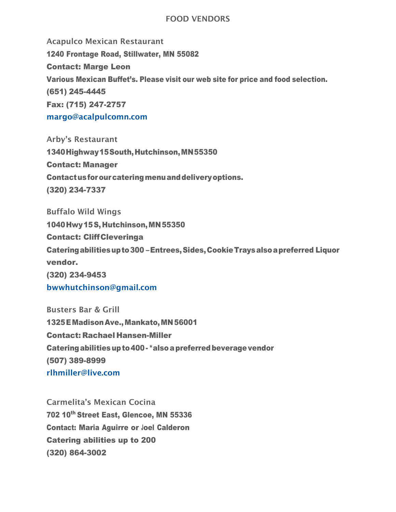## FOOD VENDORS

Acapulco Mexican Restaurant 1240 Frontage Road, Stillwater, MN 55082 Contact: Marge Leon Various Mexican Buffet's. Please visit our web site for price and food selection. (651) 245-4445 Fax: (715) 247-2757 [margo@acalpulcomn.com](mailto:margo@acalpulcomn.com)

Arby's Restaurant 1340Highway15South,Hutchinson,MN55350 Contact: Manager Contactusforourcateringmenuanddeliveryoptions. (320) 234-7337

Buffalo Wild Wings 1040Hwy15S, Hutchinson,MN55350 Contact: CliffCleveringa Cateringabilitiesupto300 –Entrees,Sides,CookieTraysalsoapreferred Liquor vendor. (320) 234-9453 [bwwhutchinson@gmail.com](mailto:bwwhutchinson@gmail.com)

Busters Bar & Grill 1325EMadisonAve.,Mankato,MN56001 Contact: Rachael Hansen-Miller Catering abilities up to 400 - \*also a preferred beverage vendor (507) 389-8999 [rlhmiller@live.com](mailto:rlhmiller@live.com)

Carmelita's Mexican Cocina 702 10<sup>th</sup> Street East, Glencoe, MN 55336 Contact: Maria Aguirre or Joel Calderon Catering abilities up to 200 (320) 864-3002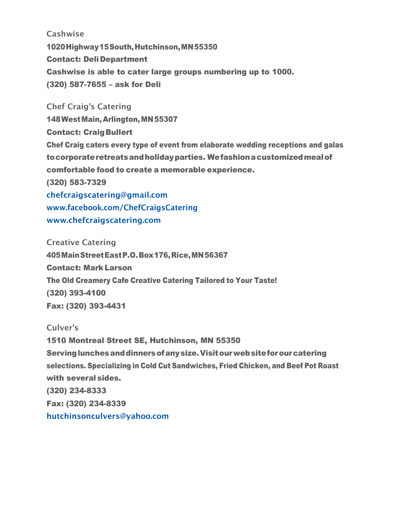**Cashwise** 1020Highway15South,Hutchinson,MN55350 Contact: DeliDepartment Cashwise is able to cater large groups numbering up to 1000. (320) 587-7655 – ask for Deli

Chef Craig's Catering 148WestMain,Arlington,MN55307 **Contact: Craig Bullert** Chef Craig caters every type of event from elaborate wedding receptions and galas tocorporateretreatsandholidayparties. Wefashionacustomizedmealof comfortable food to create a memorable experience. (320) 583-7329 [chefcraigscatering@gmail.com](mailto:chefcraigscatering@gmail.com) [www.facebook.com/ChefCraigsCatering](https://www.facebook.com/ChefCraigsCatering) [www.chefcraigscatering.com](http://www.chefcraigscatering.com/)

Creative Catering 405MainStreetEastP.O.Box176,Rice,MN56367 Contact: MarkLarson The Old Creamery Cafe Creative Catering Tailored to Your Taste! (320) 393-4100 Fax: (320) 393-4431

Culver's 1510 Montreal Street SE, Hutchinson, MN 55350 Servinglunchesanddinnersofanysize.Visitourwebsiteforourcatering selections. Specializing in Cold Cut Sandwiches, Fried Chicken, and Beef Pot Roast with several sides. (320) 234-8333 Fax: (320) 234-8339 [hutchinsonculvers@yahoo.com](mailto:hutchinsonculvers@yahoo.com)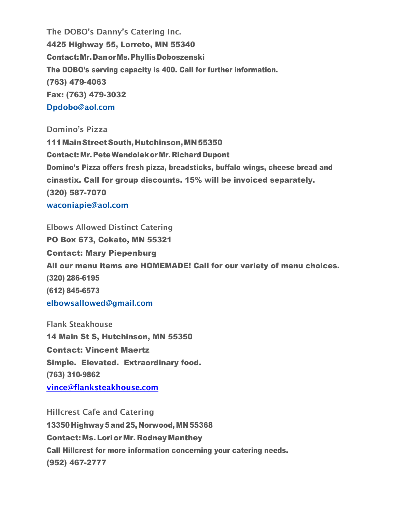The DOBO's Danny's Catering Inc. 4425 Highway 55, Lorreto, MN 55340 Contact:Mr.DanorMs.PhyllisDoboszenski The DOBO's serving capacity is 400. Call for further information. (763) 479-4063 Fax: (763) 479-3032 [Dpdobo@aol.com](mailto:Dpdobo@aol.com)

Domino's Pizza 111MainStreetSouth,Hutchinson,MN55350 Contact: Mr. Pete Wendolek or Mr. Richard Dupont Domino's Pizza offers fresh pizza, breadsticks, buffalo wings, cheese bread and cinastix. Call for group discounts. 15% will be invoiced separately. (320) 587-7070 [waconiapie@aol.com](mailto:waconiapie@aol.com)

Elbows Allowed Distinct Catering PO Box 673, Cokato, MN 55321 Contact: Mary Piepenburg All our menu items are HOMEMADE! Call for our variety of menu choices. (320) 286-6195 (612) 845-6573 [elbowsallowed@gmail.com](mailto:elbowsallowed@gmail.com)

Flank Steakhouse 14 Main St S, Hutchinson, MN 55350 Contact: Vincent Maertz Simple. Elevated. Extraordinary food. (763) 310-9862 [vince@flanksteakhouse.com](mailto:vince@flanksteakhouse.com)

Hillcrest Cafe and Catering 13350 Highway5and25, Norwood, MN 55368 **Contact: Ms. Lori or Mr. Rodney Manthey** Call Hillcrest for more information concerning your catering needs. (952) 467-2777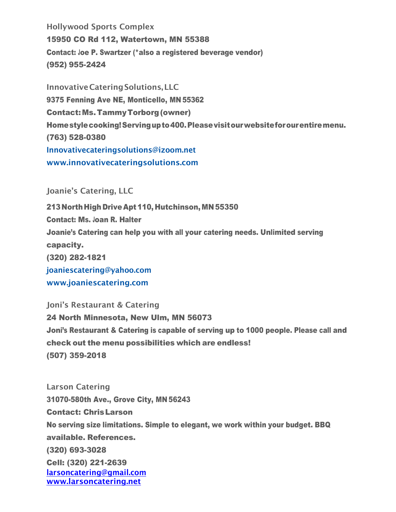Hollywood Sports Complex 15950 CO Rd 112, Watertown, MN 55388 Contact: Joe P. Swartzer (\*also a registered beverage vendor) (952) 955-2424

InnovativeCateringSolutions,LLC 9375 Fenning Ave NE, Monticello, MN 55362 Contact:Ms.TammyTorborg(owner) Homestylecooking!Servingupto400.Pleasevisitourwebsiteforourentiremenu. (763) 528-0380 [Innovativecateringsolutions@izoom.net](mailto:Innovativecateringsolutions@izoom.net) [www.innovativecateringsolutions.com](http://www.innovativecateringsolutions.com/)

Joanie's Catering, LLC

213 North High Drive Apt 110, Hutchinson, MN 55350 Contact: Ms. Joan R. Halter Joanie's Catering can help you with all your catering needs. Unlimited serving capacity. (320) 282-1821 [joaniescatering@yahoo.com](mailto:joaniescatering@yahoo.com) [www.joaniescatering.com](http://www.joaniescatering.com/)

Joni's Restaurant & Catering 24 North Minnesota, New Ulm, MN 56073 Joni's Restaurant & Catering is capable of serving up to 1000 people. Please call and check out the menu possibilities which are endless! (507) 359-2018

Larson Catering 31070-580th Ave., Grove City, MN 56243 Contact: ChrisLarson No serving size limitations. Simple to elegant, we work within your budget. BBQ available. References. [\(320\) 693-3028](mailto:heatherlandreville27@gmail.com) [Cell: \(320\) 221-2639](mailto:heatherlandreville27@gmail.com) [larsoncatering@gmail.com](mailto:larsoncatering@gmail.com) [www.larsoncatering.net](http://www.larsoncatering.net/)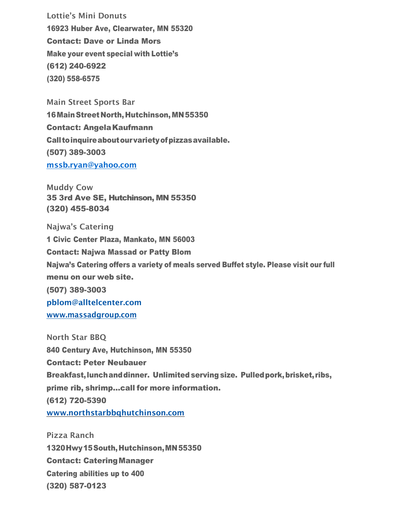Lottie's Mini Donuts 16923 Huber Ave, Clearwater, MN 55320 Contact: Dave or Linda Mors Make your event special with Lottie's (612) [240-6922](mailto:larsoncatering@gmail.com) (320) [558-6575](http://www.larsoncatering.net/)

Main Street Sports Bar 16MainStreetNorth, Hutchinson,MN55350 Contact: AngelaKaufmann Call toinquireaboutourvarietyofpizzasavailable. (507) 389-3003 [mssb.ryan@yahoo.com](mailto:mssb.ryan@yahoo.com)

Muddy Cow 35 3rd Ave SE, Hutchinson, MN 55350 (320) 455-8034

Najwa's Catering 1 Civic Center Plaza, Mankato, MN 56003 [Contact: Najwa Massad or P](http://www.massadgroup.com/)atty Blom Najwa's Catering offers a variety of meals served Buffet style. Please visit our full menu on our web site. (507) 389-3003 [pblom@alltelcenter.com](mailto:pblom@alltelcenter.com) [www.massadgroup.com](http://www.massadgroup.com/)

North Star BBQ [840 Century Ave, Hutchinson, M](mailto:northstarbbq@hotmail.com)N 55350 Contact: Peter Neubauer Breakfast, lunch and dinner. Unlimited serving size. Pulled pork, brisket, ribs, prime rib, shrimp…call for more information. (612) 720-5390 [www.northstarbbqhutchinson.com](http://www.northstarbbqhutchinson.com/)

Pizza Ranch 1320Hwy15South,Hutchinson,MN55350 Contact: CateringManager Catering abilities up to 400 (320) 587-0123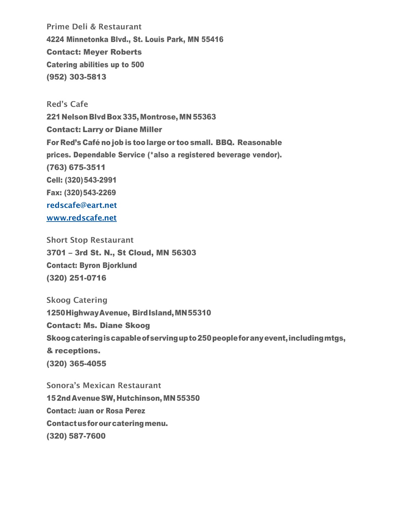[Prime Deli & Restaurant](mailto:meyerroberts6@gmail.com) 4224 Minnetonka Blvd., St. Louis Park, MN 55416 Contact: Meyer Roberts Catering abilities up to 500 (952) 303-5813

Red's Cafe 221 Nelson Blvd Box 335, Montrose, MN 55363 Contact: Larry or Diane Miller For Red's Café no job is too large or too small. BBQ. Reasonable prices. Dependable Service (\*also a registered beverage vendor). (763) 675-3511 Cell: (320)543-2991 Fax: (320)543-2269 [redscafe@eart.net](mailto:redscafe@earthlink.net) [www.redscafe.net](http://www.redscafe.net/)

Short Stop Restaurant 3701 – 3rd St. N., St Cloud, MN 56303 Contact: Byron Bjorklund (320) 251-0716

Skoog Catering 1250HighwayAvenue, BirdIsland,MN55310 Contact: Ms. Diane Skoog Skoogcateringiscapableofservingupto250peopleforanyevent,includingmtgs, & receptions. (320) 365-4055

Sonora's Mexican Restaurant 152ndAvenueSW, Hutchinson,MN55350 Contact: Juan or Rosa Perez Contactusforourcateringmenu. (320) 587-7600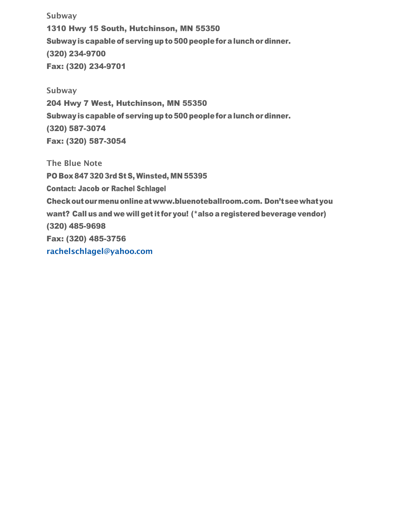Subway 1310 Hwy 15 South, Hutchinson, MN 55350 Subway is capable of serving up to 500 people for a lunch or dinner. (320) 234-9700 Fax: (320) 234-9701

**Subway** 204 Hwy 7 West, Hutchinson, MN 55350 Subway is capable of serving up to 500 people for a lunch or dinner. (320) 587-3074 Fax: (320) 587-3054

The Blue Note PO Box8473203rd St S, Winsted, MN 55395 Contact: Jacob or Rachel Schlagel Checkoutourmenuonlinea[twww.bluenoteballroom.com.](http://www.bluenoteballroom.com/) Don'tseewhatyou want? Call us and we will get it for you! (\*also a registered beverage vendor) (320) 485-9698 Fax: (320) 485-3756 [rachelschlagel@yahoo.com](mailto:rachelschlagel@yahoo.com)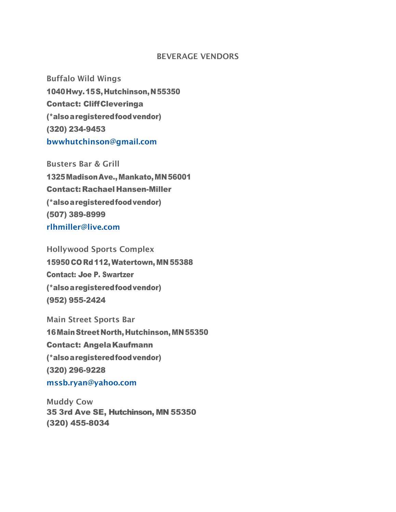## BEVERAGE VENDORS

Buffalo Wild Wings 1040Hwy.15S,Hutchinson,N55350 Contact: CliffCleveringa (\*alsoaregisteredfoodvendor) (320) 234-9453 [bwwhutchinson@gmail.com](mailto:bwwhutchinson@gmail.com)

Busters Bar & Grill 1325MadisonAve.,Mankato,MN56001 Contact: Rachael Hansen-Miller (\*alsoaregisteredfoodvendor) (507) 389-8999 [rlhmiller@live.com](mailto:rlhmiller@live.com)

Hollywood Sports Complex 15950CO Rd112,Watertown, MN 55388 Contact: Joe P. Swartzer (\*alsoaregisteredfoodvendor) (952) 955-2424

Main Street Sports Bar 16 Main Street North, Hutchinson, MN 55350 Contact: AngelaKaufmann (\*alsoaregisteredfoodvendor) (320) 296-9228 [mssb.ryan@yahoo.com](mailto:mssb.ryan@yahoo.com)

Muddy Cow 35 3rd Ave SE, Hutchinson, MN 55350 (320) 455-8034